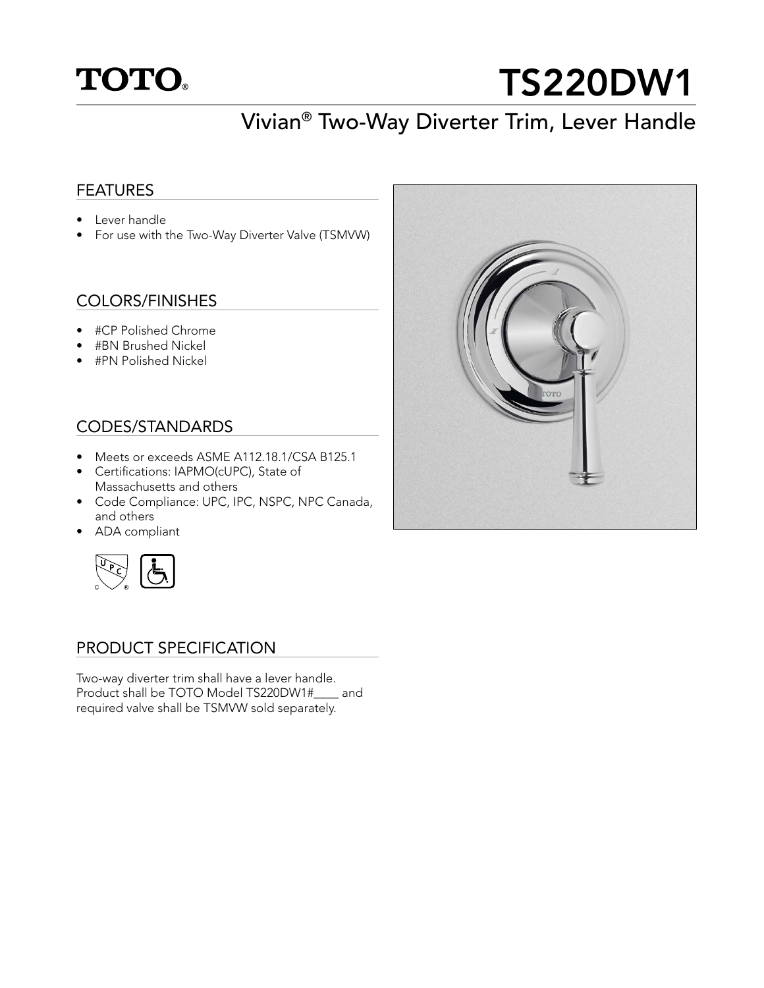

# TS220DW1

# Vivian® Two-Way Diverter Trim, Lever Handle

### FEATURES

- Lever handle
- For use with the Two-Way Diverter Valve (TSMVW)

# COLORS/FINISHES

- #CP Polished Chrome
- #BN Brushed Nickel
- #PN Polished Nickel

# CODES/STANDARDS

- Meets or exceeds ASME A112.18.1/CSA B125.1
- Certifications: IAPMO(cUPC), State of Massachusetts and others
- Code Compliance: UPC, IPC, NSPC, NPC Canada, and others
- ADA compliant



#### PRODUCT SPECIFICATION

Two-way diverter trim shall have a lever handle. Product shall be TOTO Model TS220DW1#\_\_\_\_ and required valve shall be TSMVW sold separately.